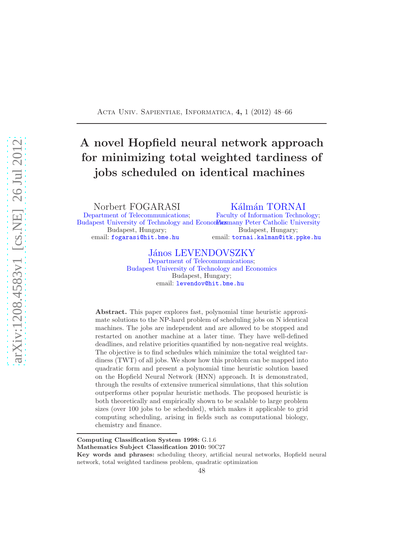### <span id="page-0-0"></span>Acta Univ. Sapientiae, Informatica, 4, 1 (2012) 48–66

# A novel Hopfield neural network approach for minimizing total weighted tardiness of jobs scheduled on identical machines

Norbert FOGARASI

[Department of Telecommunications;](http://www.hit.bme.hu/) [Budapest University of Technology and Economics](http://www.bme.hu/) many Peter Catholic University Budapest, Hungary; email: [fogarasi@hit.bme.hu](mailto:fogarasi@hit.bme.hu)

Kálmán TORNAI

[Faculty of Information Technology;](http://www.itk.ppke.hu) Budapest, Hungary; email: [tornai.kalman@itk.ppke.hu](mailto:tornai.kalman@itk.ppke.hu)

### János LEVENDOVSZKY

[Department of Telecommunications;](http://www.hit.bme.hu/) [Budapest University of Technology and Economics](http://www.bme.hu/) Budapest, Hungary; email: [levendov@hit.bme.hu](mailto:levendov@hit.bme.hu)

Abstract. This paper explores fast, polynomial time heuristic approximate solutions to the NP-hard problem of scheduling jobs on N identical machines. The jobs are independent and are allowed to be stopped and restarted on another machine at a later time. They have well-defined deadlines, and relative priorities quantified by non-negative real weights. The objective is to find schedules which minimize the total weighted tardiness (TWT) of all jobs. We show how this problem can be mapped into quadratic form and present a polynomial time heuristic solution based on the Hopfield Neural Network (HNN) approach. It is demonstrated, through the results of extensive numerical simulations, that this solution outperforms other popular heuristic methods. The proposed heuristic is both theoretically and empirically shown to be scalable to large problem sizes (over 100 jobs to be scheduled), which makes it applicable to grid computing scheduling, arising in fields such as computational biology, chemistry and finance.

Computing Classification System 1998: G.1.6

Mathematics Subject Classification 2010: 90C27

Key words and phrases: scheduling theory, artificial neural networks, Hopfield neural network, total weighted tardiness problem, quadratic optimization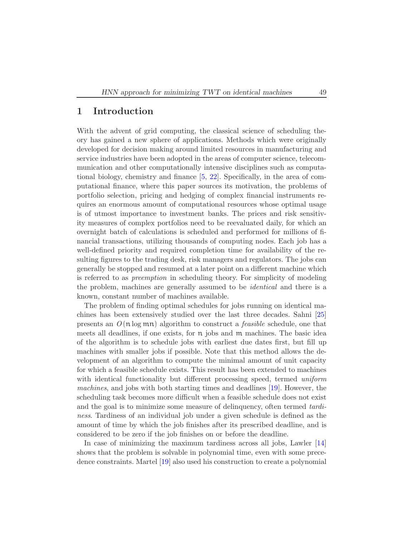### <span id="page-1-0"></span>1 Introduction

With the advent of grid computing, the classical science of scheduling theory has gained a new sphere of applications. Methods which were originally developed for decision making around limited resources in manufacturing and service industries have been adopted in the areas of computer science, telecommunication and other computationally intensive disciplines such as computational biology, chemistry and finance [\[5,](#page-17-0) [22\]](#page-18-0). Specifically, in the area of computational finance, where this paper sources its motivation, the problems of portfolio selection, pricing and hedging of complex financial instruments requires an enormous amount of computational resources whose optimal usage is of utmost importance to investment banks. The prices and risk sensitivity measures of complex portfolios need to be reevaluated daily, for which an overnight batch of calculations is scheduled and performed for millions of financial transactions, utilizing thousands of computing nodes. Each job has a well-defined priority and required completion time for availability of the resulting figures to the trading desk, risk managers and regulators. The jobs can generally be stopped and resumed at a later point on a different machine which is referred to as *preemption* in scheduling theory. For simplicity of modeling the problem, machines are generally assumed to be *identical* and there is a known, constant number of machines available.

The problem of finding optimal schedules for jobs running on identical machines has been extensively studied over the last three decades. Sahni [\[25\]](#page-18-1) presents an *O* (nlog mn) algorithm to construct a *feasible* schedule, one that meets all deadlines, if one exists, for  $n$  jobs and  $m$  machines. The basic idea of the algorithm is to schedule jobs with earliest due dates first, but fill up machines with smaller jobs if possible. Note that this method allows the development of an algorithm to compute the minimal amount of unit capacity for which a feasible schedule exists. This result has been extended to machines with identical functionality but different processing speed, termed *uniform machines*, and jobs with both starting times and deadlines [\[19\]](#page-18-2). However, the scheduling task becomes more difficult when a feasible schedule does not exist and the goal is to minimize some measure of delinquency, often termed *tardiness*. Tardiness of an individual job under a given schedule is defined as the amount of time by which the job finishes after its prescribed deadline, and is considered to be zero if the job finishes on or before the deadline.

In case of minimizing the maximum tardiness across all jobs, Lawler [\[14\]](#page-18-3) shows that the problem is solvable in polynomial time, even with some precedence constraints. Martel [\[19\]](#page-18-2) also used his construction to create a polynomial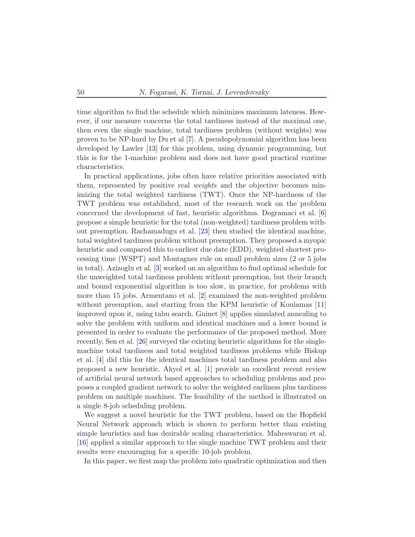<span id="page-2-0"></span>time algorithm to find the schedule which minimizes maximum lateness. However, if our measure concerns the total tardiness instead of the maximal one, then even the single machine, total tardiness problem (without weights) was proven to be NP-hard by Du et al [\[7\]](#page-17-1). A pseudopolynomial algorithm has been developed by Lawler [\[13\]](#page-17-2) for this problem, using dynamic programming, but this is for the 1-machine problem and does not have good practical runtime characteristics.

In practical applications, jobs often have relative priorities associated with them, represented by positive real *weights* and the objective becomes minimizing the total weighted tardiness (TWT). Once the NP-hardness of the TWT problem was established, most of the research work on the problem concerned the development of fast, heuristic algorithms. Dogramaci et al. [\[6\]](#page-17-3) propose a simple heuristic for the total (non-weighted) tardiness problem without preemption. Rachamadugu et al. [\[23\]](#page-18-4) then studied the identical machine, total weighted tardiness problem without preemption. They proposed a myopic heuristic and compared this to earliest due date (EDD), weighted shortest processing time (WSPT) and Montagnes rule on small problem sizes (2 or 5 jobs in total). Azizoglu et al. [\[3\]](#page-17-4) worked on an algorithm to find optimal schedule for the unweighted total tardiness problem without preemption, but their branch and bound exponential algorithm is too slow, in practice, for problems with more than 15 jobs. Armentano et al. [\[2\]](#page-17-5) examined the non-weighted problem without preemption, and starting from the KPM heuristic of Koulamas [\[11\]](#page-17-6) improved upon it, using tabu search. Guinet [\[8\]](#page-17-7) applies simulated annealing to solve the problem with uniform and identical machines and a lower bound is presented in order to evaluate the performance of the proposed method. More recently, Sen et al. [\[26\]](#page-18-5) surveyed the existing heuristic algorithms for the singlemachine total tardiness and total weighted tardiness problems while Biskup et al. [\[4\]](#page-17-8) did this for the identical machines total tardiness problem and also proposed a new heuristic. Akyol et al. [\[1\]](#page-17-9) provide an excellent recent review of artificial neural network based approaches to scheduling problems and proposes a coupled gradient network to solve the weighted earliness plus tardiness problem on multiple machines. The feasibility of the method is illustrated on a single 8-job scheduling problem.

We suggest a novel heuristic for the TWT problem, based on the Hopfield Neural Network approach which is shown to perform better than existing simple heuristics and has desirable scaling characteristics. Maheswaran et al. [\[16\]](#page-18-6) applied a similar approach to the single machine TWT problem and their results were encouraging for a specific 10-job problem.

In this paper, we first map the problem into quadratic optimization and then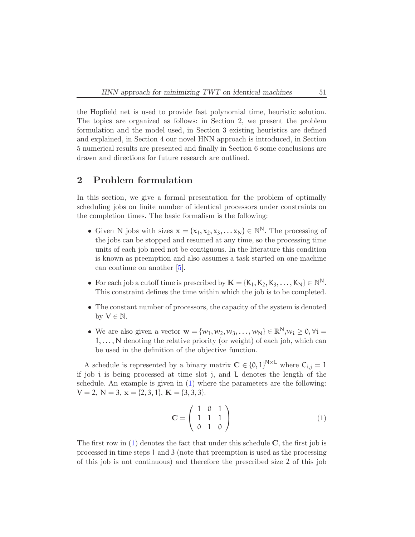<span id="page-3-1"></span>the Hopfield net is used to provide fast polynomial time, heuristic solution. The topics are organized as follows: in Section 2, we present the problem formulation and the model used, in Section 3 existing heuristics are defined and explained, in Section 4 our novel HNN approach is introduced, in Section 5 numerical results are presented and finally in Section 6 some conclusions are drawn and directions for future research are outlined.

# 2 Problem formulation

In this section, we give a formal presentation for the problem of optimally scheduling jobs on finite number of identical processors under constraints on the completion times. The basic formalism is the following:

- Given N jobs with sizes  $\mathbf{x} = \{x_1, x_2, x_3, \dots x_N\} \in \mathbb{N}^N$ . The processing of the jobs can be stopped and resumed at any time, so the processing time units of each job need not be contiguous. In the literature this condition is known as preemption and also assumes a task started on one machine can continue on another [\[5\]](#page-17-0).
- For each job a cutoff time is prescribed by  $\mathbf{K} = \{K_1, K_2, K_3, \ldots, K_N\} \in \mathbb{N}^N$ . This constraint defines the time within which the job is to be completed.
- The constant number of processors, the capacity of the system is denoted by  $V \in \mathbb{N}$ .
- We are also given a vector  $\mathbf{w} = \{w_1, w_2, w_3, \dots, w_N\} \in \mathbb{R}^N, w_i \geq 0, \forall i =$ 1, ..., N denoting the relative priority (or weight) of each job, which can be used in the definition of the objective function.

A schedule is represented by a binary matrix  $\mathbf{C} \in \{0,1\}^{N \times L}$  where  $C_{i,j} = 1$ if job i is being processed at time slot j, and L denotes the length of the schedule. An example is given in [\(1\)](#page-3-0) where the parameters are the following:  $V = 2, N = 3, x = \{2, 3, 1\}, K = \{3, 3, 3\}.$ 

<span id="page-3-0"></span>
$$
\mathbf{C} = \left( \begin{array}{ccc} 1 & 0 & 1 \\ 1 & 1 & 1 \\ 0 & 1 & 0 \end{array} \right) \tag{1}
$$

The first row in  $(1)$  denotes the fact that under this schedule  $C$ , the first job is processed in time steps 1 and 3 (note that preemption is used as the processing of this job is not continuous) and therefore the prescribed size 2 of this job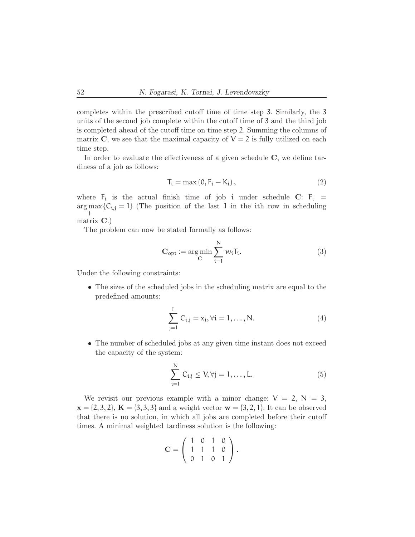completes within the prescribed cutoff time of time step 3. Similarly, the 3 units of the second job complete within the cutoff time of 3 and the third job is completed ahead of the cutoff time on time step 2. Summing the columns of matrix C, we see that the maximal capacity of  $V = 2$  is fully utilized on each time step.

In order to evaluate the effectiveness of a given schedule  $C$ , we define tardiness of a job as follows:

$$
T_i = \max(0, F_i - K_i), \qquad (2)
$$

where  $F_i$  is the actual finish time of job i under schedule C:  $F_i$  =  $\arg \max \{C_{i,j} = 1\}$  (The position of the last 1 in the ith row in scheduling j matrix C.)

The problem can now be stated formally as follows:

<span id="page-4-0"></span>
$$
\mathbf{C}_{\text{opt}} := \underset{\mathbf{C}}{\text{arg min}} \sum_{i=1}^{N} w_i \mathbf{T}_i. \tag{3}
$$

Under the following constraints:

• The sizes of the scheduled jobs in the scheduling matrix are equal to the predefined amounts:

<span id="page-4-1"></span>
$$
\sum_{j=1}^{L} C_{i,j} = x_i, \forall i = 1, ..., N.
$$
 (4)

• The number of scheduled jobs at any given time instant does not exceed the capacity of the system:

<span id="page-4-2"></span>
$$
\sum_{i=1}^{N} C_{i,j} \le V, \forall j = 1, \dots, L.
$$
 (5)

We revisit our previous example with a minor change:  $V = 2$ ,  $N = 3$ ,  $x = \{2, 3, 2\}, K = \{3, 3, 3\}$  and a weight vector  $w = \{3, 2, 1\}.$  It can be observed that there is no solution, in which all jobs are completed before their cutoff times. A minimal weighted tardiness solution is the following:

$$
\mathbf{C} = \left( \begin{array}{rrr} 1 & 0 & 1 & 0 \\ 1 & 1 & 1 & 0 \\ 0 & 1 & 0 & 1 \end{array} \right).
$$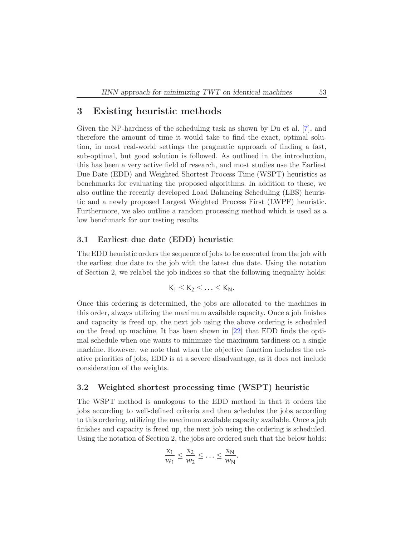### <span id="page-5-0"></span>3 Existing heuristic methods

Given the NP-hardness of the scheduling task as shown by Du et al. [\[7\]](#page-17-1), and therefore the amount of time it would take to find the exact, optimal solution, in most real-world settings the pragmatic approach of finding a fast, sub-optimal, but good solution is followed. As outlined in the introduction, this has been a very active field of research, and most studies use the Earliest Due Date (EDD) and Weighted Shortest Process Time (WSPT) heuristics as benchmarks for evaluating the proposed algorithms. In addition to these, we also outline the recently developed Load Balancing Scheduling (LBS) heuristic and a newly proposed Largest Weighted Process First (LWPF) heuristic. Furthermore, we also outline a random processing method which is used as a low benchmark for our testing results.

### 3.1 Earliest due date (EDD) heuristic

The EDD heuristic orders the sequence of jobs to be executed from the job with the earliest due date to the job with the latest due date. Using the notation of Section 2, we relabel the job indices so that the following inequality holds:

$$
K_1\leq K_2\leq \ldots \leq K_N.
$$

Once this ordering is determined, the jobs are allocated to the machines in this order, always utilizing the maximum available capacity. Once a job finishes and capacity is freed up, the next job using the above ordering is scheduled on the freed up machine. It has been shown in [\[22\]](#page-18-0) that EDD finds the optimal schedule when one wants to minimize the maximum tardiness on a single machine. However, we note that when the objective function includes the relative priorities of jobs, EDD is at a severe disadvantage, as it does not include consideration of the weights.

### 3.2 Weighted shortest processing time (WSPT) heuristic

The WSPT method is analogous to the EDD method in that it orders the jobs according to well-defined criteria and then schedules the jobs according to this ordering, utilizing the maximum available capacity available. Once a job finishes and capacity is freed up, the next job using the ordering is scheduled. Using the notation of Section 2, the jobs are ordered such that the below holds:

$$
\frac{x_1}{w_1} \leq \frac{x_2}{w_2} \leq \ldots \leq \frac{x_N}{w_N}.
$$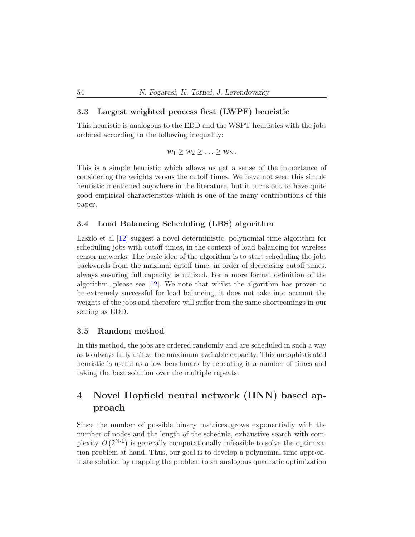### <span id="page-6-0"></span>3.3 Largest weighted process first (LWPF) heuristic

This heuristic is analogous to the EDD and the WSPT heuristics with the jobs ordered according to the following inequality:

 $w_1 \geq w_2 \geq \ldots \geq w_N$ .

This is a simple heuristic which allows us get a sense of the importance of considering the weights versus the cutoff times. We have not seen this simple heuristic mentioned anywhere in the literature, but it turns out to have quite good empirical characteristics which is one of the many contributions of this paper.

### 3.4 Load Balancing Scheduling (LBS) algorithm

Laszlo et al [\[12\]](#page-17-10) suggest a novel deterministic, polynomial time algorithm for scheduling jobs with cutoff times, in the context of load balancing for wireless sensor networks. The basic idea of the algorithm is to start scheduling the jobs backwards from the maximal cutoff time, in order of decreasing cutoff times, always ensuring full capacity is utilized. For a more formal definition of the algorithm, please see [\[12\]](#page-17-10). We note that whilst the algorithm has proven to be extremely successful for load balancing, it does not take into account the weights of the jobs and therefore will suffer from the same shortcomings in our setting as EDD.

### 3.5 Random method

In this method, the jobs are ordered randomly and are scheduled in such a way as to always fully utilize the maximum available capacity. This unsophisticated heuristic is useful as a low benchmark by repeating it a number of times and taking the best solution over the multiple repeats.

# 4 Novel Hopfield neural network (HNN) based approach

Since the number of possible binary matrices grows exponentially with the number of nodes and the length of the schedule, exhaustive search with complexity  $O(2^{N\cdot L})$  is generally computationally infeasible to solve the optimization problem at hand. Thus, our goal is to develop a polynomial time approximate solution by mapping the problem to an analogous quadratic optimization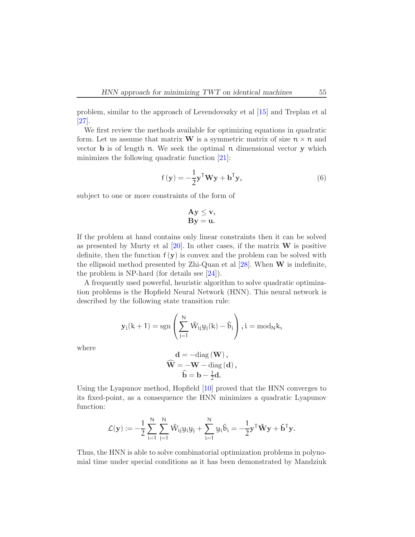<span id="page-7-1"></span>problem, similar to the approach of Levendovszky et al [\[15\]](#page-18-7) and Treplan et al [\[27\]](#page-18-8).

We first review the methods available for optimizing equations in quadratic form. Let us assume that matrix **W** is a symmetric matrix of size  $n \times n$  and vector  $\bf{b}$  is of length  $\bf{n}$ . We seek the optimal  $\bf{n}$  dimensional vector  $\bf{y}$  which minimizes the following quadratic function [\[21\]](#page-18-9):

<span id="page-7-0"></span>
$$
f(\mathbf{y}) = -\frac{1}{2}\mathbf{y}^{\mathsf{T}}\mathbf{W}\mathbf{y} + \mathbf{b}^{\mathsf{T}}\mathbf{y},
$$
\n(6)

subject to one or more constraints of the form of

$$
Ay \leq v,
$$
  
By = u.

If the problem at hand contains only linear constraints then it can be solved as presented by Murty et al  $[20]$ . In other cases, if the matrix **W** is positive definite, then the function  $f(y)$  is convex and the problem can be solved with the ellipsoid method presented by Zhi-Quan et al  $[28]$ . When **W** is indefinite, the problem is NP-hard (for details see  $[24]$ ).

A frequently used powerful, heuristic algorithm to solve quadratic optimization problems is the Hopfield Neural Network (HNN). This neural network is described by the following state transition rule:

$$
\mathbf{y}_i(k+1) = \mathrm{sgn}\left(\sum_{j=1}^N \hat{W}_{ij}y_j(k) - \hat{b}_i\right), i = \mathrm{mod}_N k,
$$

where

$$
\mathbf{d} = -\text{diag}(\mathbf{W}),
$$
  

$$
\widehat{\mathbf{W}} = -\mathbf{W} - \text{diag}(\mathbf{d}),
$$
  

$$
\widehat{\mathbf{b}} = \mathbf{b} - \frac{1}{2}\mathbf{d}.
$$

Using the Lyapunov method, Hopfield [\[10\]](#page-17-11) proved that the HNN converges to its fixed-point, as a consequence the HNN minimizes a quadratic Lyapunov function:

$$
\mathcal{L}(\mathbf{y}):=-\frac{1}{2}\sum_{i=1}^N\sum_{j=1}^N\hat{W}_{ij}y_iy_j+\sum_{i=1}^Ny_i\hat{b}_i=-\frac{1}{2}\mathbf{y}^T\hat{\mathbf{W}}\mathbf{y}+\mathbf{\hat{b}}^T\mathbf{y}.
$$

Thus, the HNN is able to solve combinatorial optimization problems in polynomial time under special conditions as it has been demonstrated by Mandziuk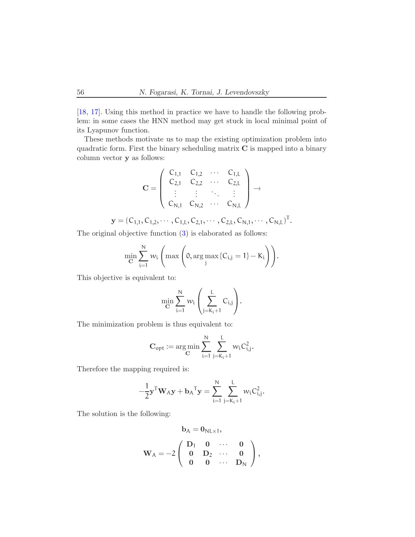<span id="page-8-0"></span>[\[18,](#page-18-13) [17\]](#page-18-14). Using this method in practice we have to handle the following problem: in some cases the HNN method may get stuck in local minimal point of its Lyapunov function.

These methods motivate us to map the existing optimization problem into quadratic form. First the binary scheduling matrix  $C$  is mapped into a binary column vector y as follows:

$$
\mathbf{C} = \left( \begin{array}{cccc} C_{1,1} & C_{1,2} & \cdots & C_{1,L} \\ C_{2,1} & C_{2,2} & \cdots & C_{2,L} \\ \vdots & \vdots & \ddots & \vdots \\ C_{N,1} & C_{N,2} & \cdots & C_{N,L} \end{array} \right) \rightarrow
$$

$$
\mathbf{y} = (C_{1,1}, C_{1,2}, \cdots, C_{1,L}, C_{2,1}, \cdots, C_{2,L}, C_{N,1}, \cdots, C_{N,L})^{T}.
$$

The original objective function [\(3\)](#page-4-0) is elaborated as follows:

$$
\min_{\mathbf{C}} \sum_{i=1}^N w_i \left( \max \left( 0, \arg \max_j \{ C_{i,j} = 1 \} - K_i \right) \right).
$$

This objective is equivalent to:

$$
\min_{\mathbf{C}} \sum_{i=1}^N w_i \left( \sum_{j=K_i+1}^L C_{i,j} \right).
$$

The minimization problem is thus equivalent to:

$$
\mathbf{C}_{opt} := \arg\!\min_{\mathbf{C}} \sum_{i=1}^N \sum_{j=K_i+1}^L w_i C_{i,j}^2.
$$

Therefore the mapping required is:

$$
-\frac{1}{2}\mathbf{y}^{\mathsf{T}}\mathbf{W}_{A}\mathbf{y} + \mathbf{b}_{A}^{\mathsf{T}}\mathbf{y} = \sum_{i=1}^{N} \sum_{j=K_i+1}^{L} w_i C_{i,j}^2.
$$

The solution is the following:

$$
\mathbf{b}_A = \mathbf{0}_{N L \times 1}, \\ \mathbf{W}_A = -2 \left( \begin{array}{cccc} \mathbf{D}_1 & \mathbf{0} & \cdots & \mathbf{0} \\ \mathbf{0} & \mathbf{D}_2 & \cdots & \mathbf{0} \\ \mathbf{0} & \mathbf{0} & \cdots & \mathbf{D}_N \end{array} \right),
$$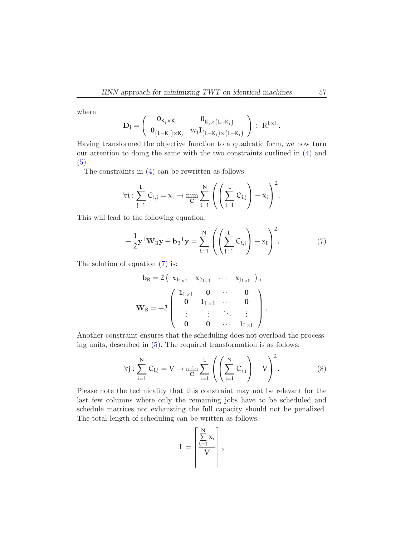where

$$
\mathbf{D}_j = \left(\begin{array}{cc} \mathbf{0}_{K_j \times K_j} & \mathbf{0}_{K_j \times (L-K_j)} \\ \mathbf{0}_{\left(L-K_j\right) \times K_j} & w_j \mathbf{I}_{\left(L-K_j\right) \times \left(L-K_j\right)} \end{array}\right) \in \mathrm{R}^{L \times L}.
$$

Having transformed the objective function to a quadratic form, we now turn our attention to doing the same with the two constraints outlined in [\(4\)](#page-4-1) and  $(5).$  $(5).$ 

The constraints in [\(4\)](#page-4-1) can be rewritten as follows:

$$
\forall i: \sum_{j=1}^L C_{i,j} = x_i \rightarrow \min_{\mathbf{C}} \sum_{i=1}^N \left( \left( \sum_{j=1}^L C_{i,j} \right) - x_i \right)^2.
$$

This will lead to the following equation:

<span id="page-9-0"></span>
$$
-\frac{1}{2}\mathbf{y}^{\mathsf{T}}\mathbf{W}_{\mathsf{B}}\mathbf{y} + \mathbf{b}_{\mathsf{B}}^{\mathsf{T}}\mathbf{y} = \sum_{i=1}^{\mathsf{N}} \left( \left( \sum_{j=1}^{L} C_{i,j} \right) - x_i \right)^2.
$$
 (7)

The solution of equation [\(7\)](#page-9-0) is:

$$
b_B = 2 \left( \begin{array}{cccc} x_{1_{1 \times L}} & x_{2_{1 \times L}} & \cdots & x_{J_{1 \times L}} \end{array} \right),
$$
  

$$
W_B = -2 \left( \begin{array}{cccc} 1_{L \times L} & 0 & \cdots & 0 \\ 0 & 1_{L \times L} & \cdots & 0 \\ \vdots & \vdots & \ddots & \vdots \\ 0 & 0 & \cdots & 1_{L \times L} \end{array} \right).
$$

Another constraint ensures that the scheduling does not overload the processing units, described in [\(5\)](#page-4-2). The required transformation is as follows:

<span id="page-9-1"></span>
$$
\forall j : \sum_{i=1}^{N} C_{i,j} = V \to \min_{\mathbf{C}} \sum_{i=1}^{L} \left( \left( \sum_{j=1}^{N} C_{i,j} \right) - V \right)^2.
$$
 (8)

Please note the technicality that this constraint may not be relevant for the last few columns where only the remaining jobs have to be scheduled and schedule matrices not exhausting the full capacity should not be penalized. The total length of scheduling can be written as follows:

$$
\tilde{L} = \left\lceil \frac{\sum\limits_{i=1}^N x_i}{V} \right\rceil,
$$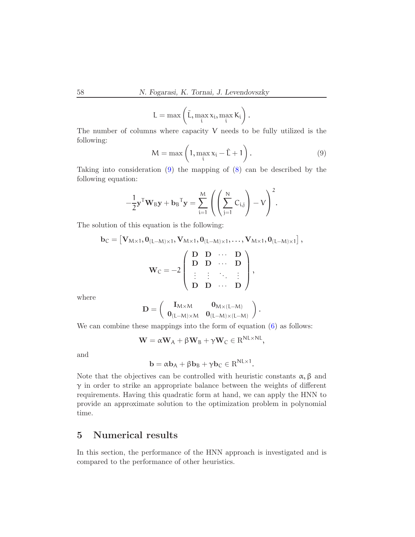$$
L = \max\left(\tilde{L}, \max_i x_i, \max_i K_i\right).
$$

The number of columns where capacity V needs to be fully utilized is the following:

<span id="page-10-0"></span>
$$
M = \max\left(1, \max_{i} x_i - \hat{L} + 1\right). \tag{9}
$$

NL×NL

Taking into consideration [\(9\)](#page-10-0) the mapping of [\(8\)](#page-9-1) can be described by the following equation:

$$
-\frac{1}{2}\mathbf{y}^{\mathsf{T}}\mathbf{W}_B\mathbf{y} + \mathbf{b}_B^{\mathsf{T}}\mathbf{y} = \sum_{i=1}^M \left( \left( \sum_{j=1}^N C_{i,j} \right) - V \right)^2.
$$

The solution of this equation is the following:

$$
\mathbf{b}_C = \begin{bmatrix} \mathbf{V}_{M \times 1}, \mathbf{0}_{(L-M) \times 1}, \mathbf{V}_{M \times 1}, \mathbf{0}_{(L-M) \times 1}, \ldots, \mathbf{V}_{M \times 1}, \mathbf{0}_{(L-M) \times 1} \end{bmatrix},
$$

$$
\mathbf{W}_C = -2 \begin{pmatrix} \mathbf{D} & \mathbf{D} & \cdots & \mathbf{D} \\ \mathbf{D} & \mathbf{D} & \cdots & \mathbf{D} \\ \vdots & \vdots & \ddots & \vdots \\ \mathbf{D} & \mathbf{D} & \cdots & \mathbf{D} \end{pmatrix},
$$

where

$$
\mathbf{D} = \left(\begin{array}{cc} \mathbf{I}_{M \times M} & \mathbf{0}_{M \times (L-M)} \\ \mathbf{0}_{(L-M) \times M} & \mathbf{0}_{(L-M) \times (L-M)} \end{array}\right).
$$

We can combine these mappings into the form of equation  $(6)$  as follows:

$$
\mathbf{W} = \alpha \mathbf{W}_{A} + \beta \mathbf{W}_{B} + \gamma \mathbf{W}_{C} \in \mathrm{R}^{N L \times N L},
$$

and

$$
\mathbf{b} = \alpha \mathbf{b}_A + \beta \mathbf{b}_B + \gamma \mathbf{b}_C \in \mathrm{R}^{NL \times 1}.
$$

Note that the objectives can be controlled with heuristic constants  $\alpha$ ,  $\beta$  and  $\gamma$  in order to strike an appropriate balance between the weights of different requirements. Having this quadratic form at hand, we can apply the HNN to provide an approximate solution to the optimization problem in polynomial time.

# 5 Numerical results

In this section, the performance of the HNN approach is investigated and is compared to the performance of other heuristics.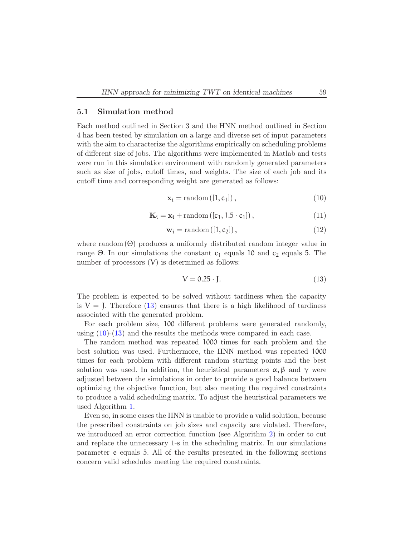#### 5.1 Simulation method

Each method outlined in Section 3 and the HNN method outlined in Section 4 has been tested by simulation on a large and diverse set of input parameters with the aim to characterize the algorithms empirically on scheduling problems of different size of jobs. The algorithms were implemented in Matlab and tests were run in this simulation environment with randomly generated parameters such as size of jobs, cutoff times, and weights. The size of each job and its cutoff time and corresponding weight are generated as follows:

<span id="page-11-1"></span>
$$
\mathbf{x}_{i} = \text{random}([1, c_{1}]), \qquad (10)
$$

$$
\mathbf{K}_{i} = \mathbf{x}_{i} + \mathrm{random} \left( [c_{1}, 1.5 \cdot c_{1}] \right), \tag{11}
$$

$$
\mathbf{w}_{i} = \text{random}([1, c_{2}]), \qquad (12)
$$

where random  $(\Theta)$  produces a uniformly distributed random integer value in range Θ. In our simulations the constant  $c_1$  equals 10 and  $c_2$  equals 5. The number of processors  $(V)$  is determined as follows:

<span id="page-11-0"></span>
$$
V = 0.25 \cdot J. \tag{13}
$$

The problem is expected to be solved without tardiness when the capacity is  $V =$  J. Therefore [\(13\)](#page-11-0) ensures that there is a high likelihood of tardiness associated with the generated problem.

For each problem size, 100 different problems were generated randomly, using  $(10)-(13)$  $(10)-(13)$  and the results the methods were compared in each case.

The random method was repeated 1000 times for each problem and the best solution was used. Furthermore, the HNN method was repeated 1000 times for each problem with different random starting points and the best solution was used. In addition, the heuristical parameters  $\alpha$ ,  $\beta$  and  $\gamma$  were adjusted between the simulations in order to provide a good balance between optimizing the objective function, but also meeting the required constraints to produce a valid scheduling matrix. To adjust the heuristical parameters we used Algorithm [1.](#page-12-0)

Even so, in some cases the HNN is unable to provide a valid solution, because the prescribed constraints on job sizes and capacity are violated. Therefore, we introduced an error correction function (see Algorithm [2\)](#page-12-1) in order to cut and replace the unnecessary 1-s in the scheduling matrix. In our simulations parameter e equals 5. All of the results presented in the following sections concern valid schedules meeting the required constraints.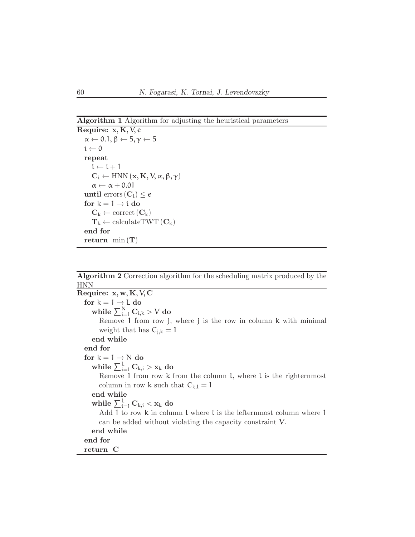### Algorithm 1 Algorithm for adjusting the heuristical parameters

```
Require: x, K, V, e
\alpha \leftarrow 0.1, \beta \leftarrow 5, \gamma \leftarrow 5i \leftarrow 0repeat
   i \leftarrow i + 1C_i \leftarrow HNN (\mathbf{x}, \mathbf{K}, \mathbf{V}, \alpha, \beta, \gamma)\alpha \leftarrow \alpha + 0.01until errors(C_i) < efor k = 1 \rightarrow i do
    C_k \leftarrow \text{correct}(C_k)T_k \leftarrow \text{calculateTWT}(\mathbf{C}_k)end for
return \min(T)
```
### <span id="page-12-0"></span>Algorithm 2 Correction algorithm for the scheduling matrix produced by the HNN

<span id="page-12-1"></span>Require:  $x, w, K, V, C$ for  $k = 1 \rightarrow L$  do while  $\sum_{i=1}^N C_{i,k} > V$  do Remove 1 from row j, where j is the row in column k with minimal weight that has  $C_{j,k} = 1$ end while end for for  $k = 1 \rightarrow N$  do while  $\sum_{i=1}^{L} C_{k,i} > x_k$  do Remove 1 from row k from the column l, where l is the righternmost column in row k such that  $C_{k,l} = 1$ end while while  $\sum_{i=1}^L \mathbf{C}_{k,i} < \mathbf{x}_k$  do Add 1 to row k in column l where l is the lefternmost column where 1 can be added without violating the capacity constraint V. end while end for return C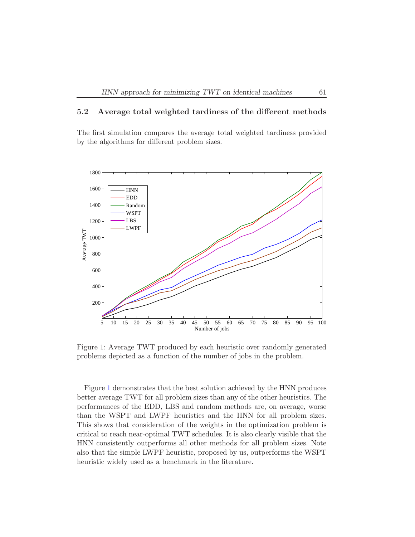### 5.2 Average total weighted tardiness of the different methods

The first simulation compares the average total weighted tardiness provided by the algorithms for different problem sizes.



<span id="page-13-0"></span>Figure 1: Average TWT produced by each heuristic over randomly generated problems depicted as a function of the number of jobs in the problem.

Figure [1](#page-13-0) demonstrates that the best solution achieved by the HNN produces better average TWT for all problem sizes than any of the other heuristics. The performances of the EDD, LBS and random methods are, on average, worse than the WSPT and LWPF heuristics and the HNN for all problem sizes. This shows that consideration of the weights in the optimization problem is critical to reach near-optimal TWT schedules. It is also clearly visible that the HNN consistently outperforms all other methods for all problem sizes. Note also that the simple LWPF heuristic, proposed by us, outperforms the WSPT heuristic widely used as a benchmark in the literature.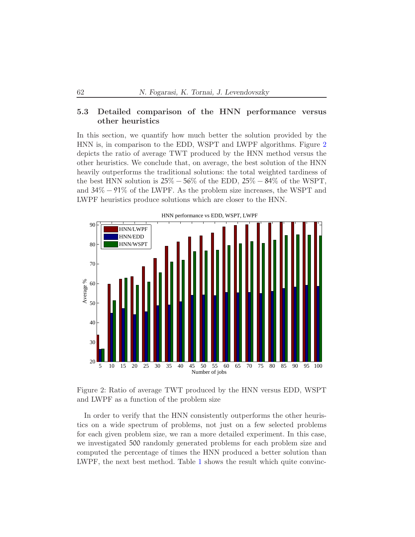### 5.3 Detailed comparison of the HNN performance versus other heuristics

In this section, we quantify how much better the solution provided by the HNN is, in comparison to the EDD, WSPT and LWPF algorithms. Figure [2](#page-14-0) depicts the ratio of average TWT produced by the HNN method versus the other heuristics. We conclude that, on average, the best solution of the HNN heavily outperforms the traditional solutions: the total weighted tardiness of the best HNN solution is  $25\% - 56\%$  of the EDD,  $25\% - 84\%$  of the WSPT, and 34% − 91% of the LWPF. As the problem size increases, the WSPT and LWPF heuristics produce solutions which are closer to the HNN.



Figure 2: Ratio of average TWT produced by the HNN versus EDD, WSPT

<span id="page-14-0"></span>and LWPF as a function of the problem size

In order to verify that the HNN consistently outperforms the other heuristics on a wide spectrum of problems, not just on a few selected problems for each given problem size, we ran a more detailed experiment. In this case, we investigated 500 randomly generated problems for each problem size and computed the percentage of times the HNN produced a better solution than LWPF, the next best method. Table [1](#page-15-0) shows the result which quite convinc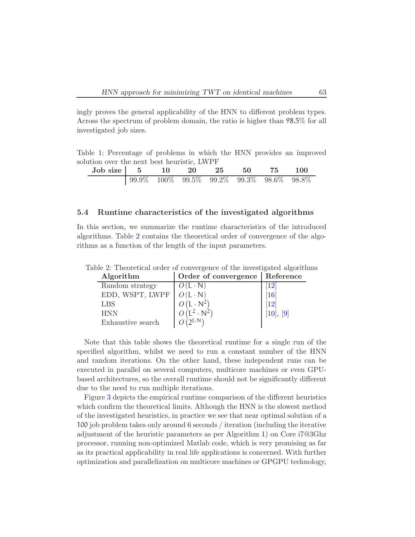<span id="page-15-2"></span>ingly proves the general applicability of the HNN to different problem types. Across the spectrum of problem domain, the ratio is higher than 98.5% for all investigated job sizes.

Table 1: Percentage of problems in which the HNN provides an improved solution over the next best heuristic, LWPF

<span id="page-15-0"></span>

| Job size   5 10 20 25 50 75 100 |  |  |  |                                                  |
|---------------------------------|--|--|--|--------------------------------------------------|
|                                 |  |  |  | $\vert$ 99.9% 100% 99.5% 99.2% 99.3% 98.6% 98.8% |

#### 5.4 Runtime characteristics of the investigated algorithms

In this section, we summarize the runtime characteristics of the introduced algorithms. Table [2](#page-15-1) contains the theoretical order of convergence of the algorithms as a function of the length of the input parameters.

<span id="page-15-1"></span>

| Algorithm         | Order of convergence      | Reference      |
|-------------------|---------------------------|----------------|
| Random strategy   | $O(L \cdot N)$            |                |
| EDD, WSPT, LWPF   | $O(L \cdot N)$            | 16             |
| <b>LBS</b>        | $O(L \cdot N^2)$          | 19             |
| <b>HNN</b>        | $(L^2 \cdot N^2)$         | $[10]$ , $[9]$ |
| Exhaustive search | $\partial$ L·N $\partial$ |                |

Table 2: Theoretical order of convergence of the investigated algorithms

Note that this table shows the theoretical runtime for a single run of the specified algorithm, whilst we need to run a constant number of the HNN and random iterations. On the other hand, these independent runs can be executed in parallel on several computers, multicore machines or even GPUbased architectures, so the overall runtime should not be significantly different due to the need to run multiple iterations.

Figure [3](#page-16-0) depicts the empirical runtime comparison of the different heuristics which confirm the theoretical limits. Although the HNN is the slowest method of the investigated heuristics, in practice we see that near optimal solution of a 100 job problem takes only around 6 seconds / iteration (including the iterative adjustment of the heuristic parameters as per Algorithm [1\)](#page-12-0) on Core i7@3Ghz processor, running non-optimized Matlab code, which is very promising as far as its practical applicability in real life applications is concerned. With further optimization and parallelization on multicore machines or GPGPU technology,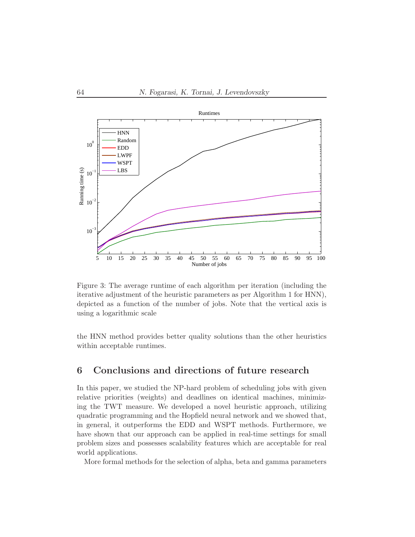

<span id="page-16-0"></span>Figure 3: The average runtime of each algorithm per iteration (including the iterative adjustment of the heuristic parameters as per Algorithm 1 for HNN), depicted as a function of the number of jobs. Note that the vertical axis is using a logarithmic scale

the HNN method provides better quality solutions than the other heuristics within acceptable runtimes.

# 6 Conclusions and directions of future research

In this paper, we studied the NP-hard problem of scheduling jobs with given relative priorities (weights) and deadlines on identical machines, minimizing the TWT measure. We developed a novel heuristic approach, utilizing quadratic programming and the Hopfield neural network and we showed that, in general, it outperforms the EDD and WSPT methods. Furthermore, we have shown that our approach can be applied in real-time settings for small problem sizes and possesses scalability features which are acceptable for real world applications.

More formal methods for the selection of alpha, beta and gamma parameters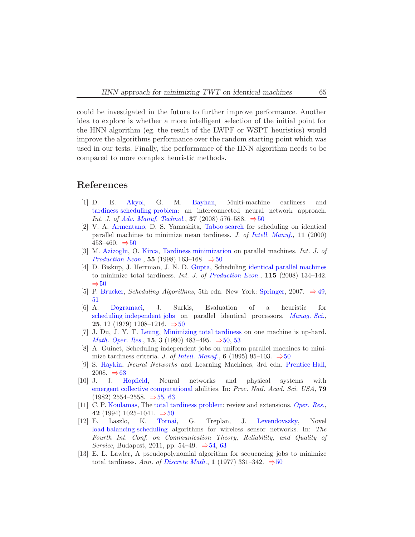could be investigated in the future to further improve performance. Another idea to explore is whether a more intelligent selection of the initial point for the HNN algorithm (eg. the result of the LWPF or WSPT heuristics) would improve the algorithms performance over the random starting point which was used in our tests. Finally, the performance of the HNN algorithm needs to be compared to more complex heuristic methods.

### <span id="page-17-9"></span>References

- [1] D. E. [Akyol,](http://www.deu.edu.tr/DEUWeb/English/Icerik/Icerik.php?KOD=6933) G. M. [Bayhan,](http://kisi.deu.edu.tr/mirac.bayhan/) Multi-machine earliness and [tardiness scheduling problem:](http://www.springerlink.com/content/j42666764q57j768/fulltext.pdf) an interconnected neural network approach. *Int. J. of [Adv. Manuf. Technol.]( http://www.ingentaconnect.com/content/klu/170;jsessionid=e2q15a1aanbi.alice)*, **37** (2008) 576–588.  $\Rightarrow$  [50](#page-2-0)
- <span id="page-17-5"></span>[2] V. A. [Armentano,](http://www.densis.fee.unicamp.br/~vinicius/) D. S. Yamashita, [Taboo search](http://www.springerlink.com/content/p130j57823581544/fulltext.pdf) for scheduling on identical parallel machines to minimize mean tardiness. *J. of [Intell. Manuf.]( http://www.springerlink.com/content/0956-5515/)*, 11 (2000) 453–460.  $\Rightarrow$  [50](#page-2-0)
- <span id="page-17-4"></span>[3] M. [Azizoglu,](http://www.ie.metu.edu.tr/~meral/) O. [Kirca,](http://www.eng.metu.edu.tr/pages/roster/ie/okirca.html) [Tardiness minimization](http://pdn.sciencedirect.com/science?_ob=MiamiImageURL&_cid=271692&_user=303407&_pii=S0925527398000346&_check=y&_origin=article&_zone=toolbar&_coverDate=01-Jul-1998&view=c&originContentFamily=serial&wchp=dGLzVlt-zSkWb&md5=02b6599b4fce34cb16af86e5fab52fa6/1-s2.0-S0925527398000346-main.pdf) on parallel machines. *Int. J. of [Production Econ.](http://www.journals.elsevier.com/international-journal-of-production-economics/)*, 55 (1998) 163–168.  $\Rightarrow$  [50](#page-2-0)
- <span id="page-17-8"></span>[4] D. Biskup, J. Herrman, J. N. D. [Gupta,](http://cba.uah.edu/is/gupta) Scheduling [identical parallel machines](http://pdn.sciencedirect.com/science?_ob=MiamiImageURL&_cid=271692&_user=303407&_pii=S0925527308001515&_check=y&_origin=article&_zone=toolbar&_coverDate=30-Sep-2008&view=c&originContentFamily=serial&wchp=dGLbVlV-zSkWz&md5=7b8fbf6e6ed22800adf81b749691e1d0/1-s2.0-S0925527308001515-main.pdf) to minimize total tardiness. *Int. J. of [Production Econ.](#page-0-0)*, 115 (2008) 134–142.  $\Rightarrow$  [50](#page-2-0)
- <span id="page-17-3"></span><span id="page-17-0"></span>[5] P. [Brucker,](http://www.mathematik.uni-osnabrueck.de/staff/phpages/bruckerp.rdf.html) *Scheduling Algorithms*, 5th edn. New York: [Springer,](www.springer.com) 2007. <sup>⇒</sup> [49,](#page-1-0) [51](#page-3-1)
- [6] A. [Dogramaci,](http://www.provost.bilkent.edu.tr/rector/dogramac.htm) J. Surkis, Evaluation of a heuristic for [scheduling independent jobs](http://www.jstor.org/stable/pdfplus/2630795.pdf?acceptTC=true) on parallel identical processors. *[Manag. Sci.](http://www.jstor.org/action/showPublication?journalCode=manascie)*, 25, 12 (1979) 1208–1216. ⇒[50](#page-2-0)
- <span id="page-17-1"></span>[7] J. Du, J. Y. T. [Leung,](http://web.njit.edu/~leung/) [Minimizing total tardiness](http://www.jstor.org/stable/pdfplus/3689992.pdf) on one machine is np-hard. *[Math. Oper. Res.](http://mor.pubs.informs.org/)*, **15**, 3 (1990) 483–495. ⇒[50,](#page-2-0) [53](#page-5-0)
- <span id="page-17-7"></span>[8] A. Guinet, Scheduling independent jobs on uniform parallel machines to minimize tardiness criteria. *J. of [Intell. Manuf.](http://www.springer.com/business+%26+management/production/journal/10845)*, 6 (1995) 95–103.  $\Rightarrow$  [50](#page-2-0)
- <span id="page-17-12"></span><span id="page-17-11"></span>[9] S. [Haykin,](http://soma.mcmaster.ca/haykin.php) *Neural Networks* and Learning Machines, 3rd edn. [Prentice Hall,](http://prenticehall.com/) 2008.  $\Rightarrow 63$  $\Rightarrow 63$ <br>[10] J. J. H
- [Hopfield,](http://www.cirs.net/researchers/researchers.php?id=567) Neural networks and physical systems with [emergent collective computational](http://bi.snu.ac.kr/Courses/g-ai09-2/hopfield82.pdf) abilities. In: *Proc. Natl. Acad. Sci. USA*, 79  $(1982)$  2554–2558.  $\Rightarrow$  [55,](#page-7-1) [63](#page-15-2)
- <span id="page-17-6"></span>[11] C. P. [Koulamas,](http://www.isi.gr/en/profile/koulamas_christos.html) The [total tardiness problem:](http://www.jstor.org/stable/pdfplus/171984.pdf) review and extensions. *[Oper. Res.](http://www.informs.org/Pubs/OR)*, 42 (1994) 1025–1041.  $\Rightarrow$  [50](#page-2-0)<br>[12] E. Laszlo, K. Tornai,
- <span id="page-17-10"></span>G. Treplan, J. [Levendovszky,](http://neural.hit.bme.hu/levendov/) Novel [load balancing scheduling](http://www.thinkmind.org/index.php?view=article&articleid=ctrq_2011_3_20_10067) algorithms for wireless sensor networks. In: *The Fourth Int. Conf. on Communication Theory, Reliability, and Quality of Service*, Budapest, 2011, pp. 54–49. <sup>⇒</sup>[54,](#page-6-0) [63](#page-15-2)
- <span id="page-17-2"></span>[13] E. L. Lawler, A pseudopolynomial algorithm for sequencing jobs to minimize total tardiness. Ann. of [Discrete Math.](http://www.sciencedirect.com/science/bookseries/01675060), 1 (1977) 331–342.  $\Rightarrow$  [50](#page-2-0)